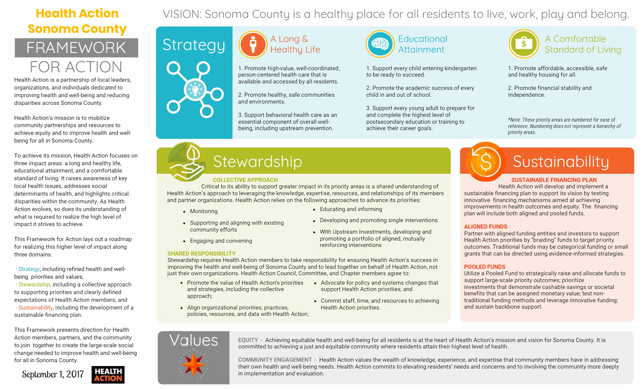## **Health Action Sonoma County**  FRAMEWORK

# FOR ACTION

Health Action is a partnership of local leaders, organizations, and individuals dedicated to improving health and well-being and reducing disparities across Sonoma County.

Health Action's mission is to mobilize community partnerships and resources to achieve equity and to improve health and wellbeing for all in Sonoma County.

To achieve its mission, Health Action focuses on three impact areas: a long and healthy life, educational attainment, and a comfortable standard of living. It raises awareness of key local health issues, addresses social determinants of health, and highlights critical disparities within the community. As Health Action evolves, so does its understanding of what is required to realize the high level of impact it strives to achieve.

This Framework for Action lays out a roadmap for realizing this higher level of impact along three domains:

· Strategy, including refined health and wellbeing priorities and values;

· **Stewardship,** including a collective approach to supporting priorities and clearly defined expectations of Health Action members; and · Sustainability, including the development of a sustainable financing plan.

This Framework presents direction for Health Action members, partners, and the community to join together to create the large-scale social change needed to improve health and well-being for all in Sonoma County.

**September 1, 2017** 



## VISION: Sonoma County is a healthy place for all residents to live, work, play and belong.





Critical to its ability to support greater impact in its priority areas is a shared understanding of Health Action will develop and implement a Health Action's approach to leveraging the knowledge, expertise, resources, and relationships of its members sustainable financing plan to support its vision by testing and partner organizations. Health Action relies on the following approaches to advance its priorities: innovative financing mechanisms aimed at achieving

- 
- 
- 
- 

available and accessed by all residents.

just their own organizations. Health Action Council, Committee, and Chapter members agree to: Utilize a Pooled Fund to strategically raise and allocate funds to • Promote the value of Health Action's priorities • Advocate for policy and systems changes that and strategies, including the collective support Health Action priorities; and approach;<br>approach; and strategies, including • Commit staff, time, and resources to achieving traditional funding methods and leverage innovative funding;

and environments.

3. Support behavioral health care as an and complete the highest level of



1. Promote high-value, well-coordinated, and the Support every child entering kindergarten and the Momote affordable, accessible, safe person-centered health care that is to be ready to succeed. The and healthy housing for all.

2. Promote the academic success of every **2. Promote financial stability and** 2. Promote healthy, safe communities ehild in and out of school. The independence.

# Stewardship

3. Support every young adult to prepare for



### A Long & (  $\left(\frac{1}{2}\right)^2$  Educational (  $\frac{1}{3}$  A Comfortable Healthy Life **Attainment** Standard of Living

essential component of overall well-<br>
essential component of overall well-<br>
essential component of overall well-<br>
essential component of overall well**reference.** Numbering does not represent a hierarchy of a being, including upstream prevention. achieve their career goals.<br> **priority areas.** *priority areas.* 



# Sustainability

### **COLLECTIVE APPROACH SUSTAINABLE FINANCING PLAN**

- 
- 
- Align organizational priorities, practices, Health Action priorities. and sustain backbone support. policies, resources, and data with Health Action;
- 





**VOUCS** EQUITY - Achieving equitable health and well-being for all residents is at the heart of Health Action's mission and vision for Sonoma County. It is committed to achieving a just and equitable community where residents attain their highest level of health.

improvements in health outcomes and equity. The financing • Educating and informing • Monitoring plan will include both aligned and pooled funds.

• Supporting and aligning with existing • Developing and promoting single interventions<br>• With Upstream Investments, developing and Partner with aligned funding entities and investors to support<br>• Fragging and convening promoting a portfolio of aligned, mutually • Engaging and convening Health Action priorities by "braiding" funds to target priority reinforcing interventions outcomes. Traditional funds may be categorical funding or small **SHARED RESPONSIBILITY Grants that can be directed using evidence-informed strategies.** 

Stewardship requires Health Action members to take responsibility for ensuring Health Action's success in improving the health and well-being of Sonoma County and to lead together on behalf of Health Action, not **POOLED FUNDS** 

- 
- 
- 
- 
- 

**COMMUNITY ENGAGEMENT** - Health Action values the wealth of knowledge, experience, and expertise that community members have in addressing their own health and well-being needs. Health Action commits to elevating residents' needs and concerns and to involving the community more deeply in implementation and evaluation.